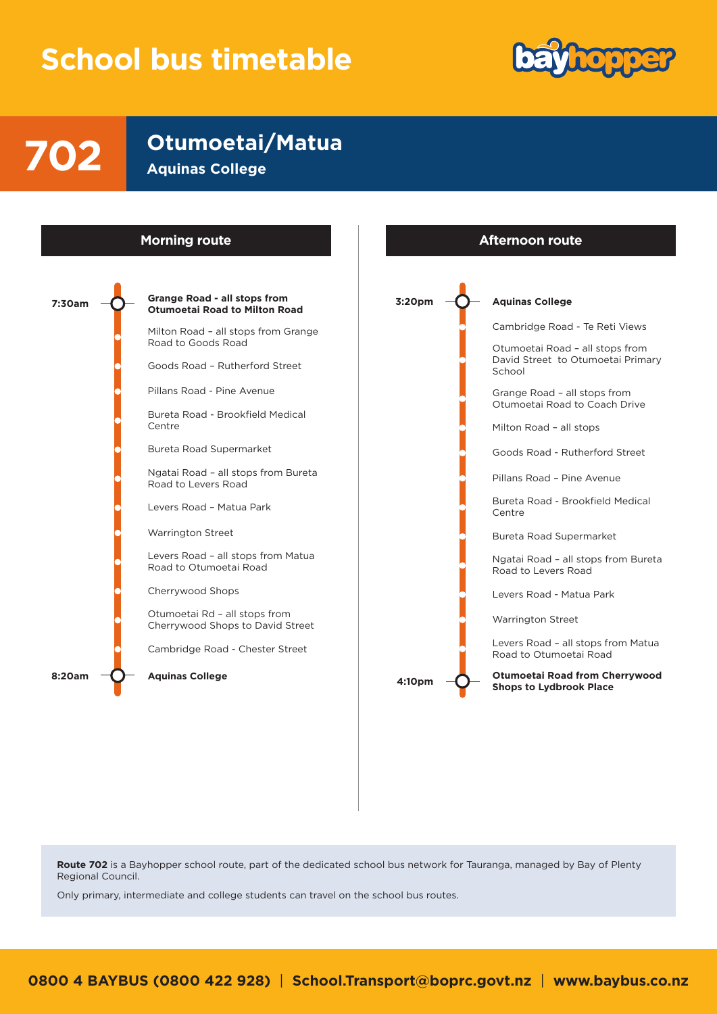## **School bus timetable**



**Otumoetai/Matua 702 Aquinas College**



**Route 702** is a Bayhopper school route, part of the dedicated school bus network for Tauranga, managed by Bay of Plenty Regional Council.

Only primary, intermediate and college students can travel on the school bus routes.